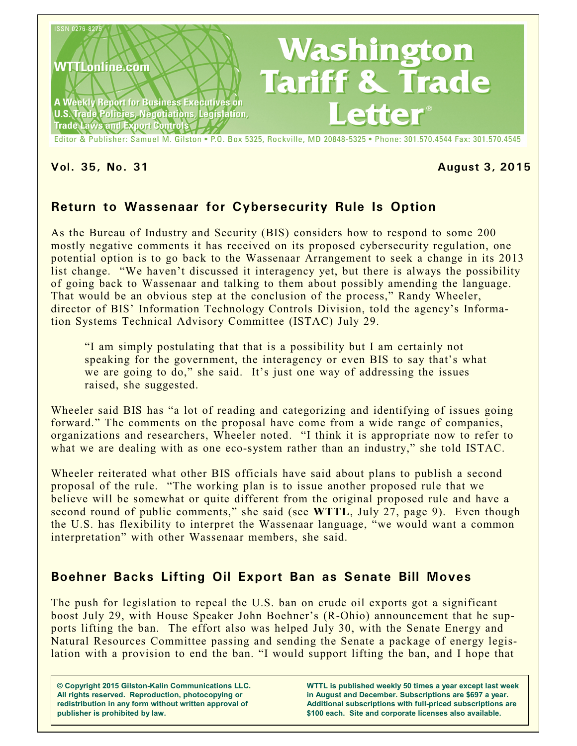

Editor & Publisher: Samuel M. Gilston . P.O. Box 5325, Rockville, MD 20848-5325 . Phone: 301.570.4544 Fax: 301.570.4545

#### **Vol. 35, No. 31 August 3, 2015**

## **Return to Wassenaar for Cybersecurity Rule Is Option**

As the Bureau of Industry and Security (BIS) considers how to respond to some 200 mostly negative comments it has received on its proposed cybersecurity regulation, one potential option is to go back to the Wassenaar Arrangement to seek a change in its 2013 list change. "We haven't discussed it interagency yet, but there is always the possibility of going back to Wassenaar and talking to them about possibly amending the language. That would be an obvious step at the conclusion of the process," Randy Wheeler, director of BIS' Information Technology Controls Division, told the agency's Information Systems Technical Advisory Committee (ISTAC) July 29.

"I am simply postulating that that is a possibility but I am certainly not speaking for the government, the interagency or even BIS to say that's what we are going to do," she said. It's just one way of addressing the issues raised, she suggested.

Wheeler said BIS has "a lot of reading and categorizing and identifying of issues going forward." The comments on the proposal have come from a wide range of companies, organizations and researchers, Wheeler noted. "I think it is appropriate now to refer to what we are dealing with as one eco-system rather than an industry," she told ISTAC.

Wheeler reiterated what other BIS officials have said about plans to publish a second proposal of the rule. "The working plan is to issue another proposed rule that we believe will be somewhat or quite different from the original proposed rule and have a second round of public comments," she said (see **WTTL**, July 27, page 9). Even though the U.S. has flexibility to interpret the Wassenaar language, "we would want a common interpretation" with other Wassenaar members, she said.

## **Boehner Backs Lifting Oil Export Ban as Senate Bill Moves**

The push for legislation to repeal the U.S. ban on crude oil exports got a significant boost July 29, with House Speaker John Boehner's (R-Ohio) announcement that he supports lifting the ban. The effort also was helped July 30, with the Senate Energy and Natural Resources Committee passing and sending the Senate a package of energy legislation with a provision to end the ban. "I would support lifting the ban, and I hope that

**© Copyright 2015 Gilston-Kalin Communications LLC. All rights reserved. Reproduction, photocopying or redistribution in any form without written approval of publisher is prohibited by law.** 

**WTTL is published weekly 50 times a year except last week in August and December. Subscriptions are \$697 a year. Additional subscriptions with full-priced subscriptions are \$100 each. Site and corporate licenses also available.**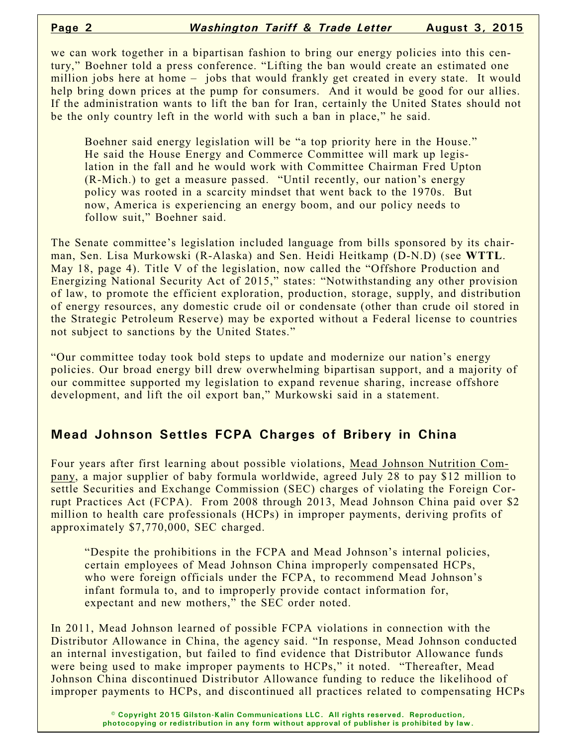we can work together in a bipartisan fashion to bring our energy policies into this century," Boehner told a press conference. "Lifting the ban would create an estimated one million jobs here at home – jobs that would frankly get created in every state. It would help bring down prices at the pump for consumers. And it would be good for our allies. If the administration wants to lift the ban for Iran, certainly the United States should not be the only country left in the world with such a ban in place," he said.

Boehner said energy legislation will be "a top priority here in the House." He said the House Energy and Commerce Committee will mark up legislation in the fall and he would work with Committee Chairman Fred Upton (R-Mich.) to get a measure passed. "Until recently, our nation's energy policy was rooted in a scarcity mindset that went back to the 1970s. But now, America is experiencing an energy boom, and our policy needs to follow suit," Boehner said.

The Senate committee's legislation included language from bills sponsored by its chairman, Sen. Lisa Murkowski (R-Alaska) and Sen. Heidi Heitkamp (D-N.D) (see **WTTL**. May 18, page 4). Title V of the legislation, now called the "Offshore Production and Energizing National Security Act of 2015," states: "Notwithstanding any other provision of law, to promote the efficient exploration, production, storage, supply, and distribution of energy resources, any domestic crude oil or condensate (other than crude oil stored in the Strategic Petroleum Reserve) may be exported without a Federal license to countries not subject to sanctions by the United States."

"Our committee today took bold steps to update and modernize our nation's energy policies. Our broad energy bill drew overwhelming bipartisan support, and a majority of our committee supported my legislation to expand revenue sharing, increase offshore development, and lift the oil export ban," Murkowski said in a statement.

# **Mead Johnson Settles FCPA Charges of Bribery in China**

Four years after first learning about possible violations, Mead Johnson Nutrition Company, a major supplier of baby formula worldwide, agreed July 28 to pay \$12 million to settle Securities and Exchange Commission (SEC) charges of violating the Foreign Corrupt Practices Act (FCPA). From 2008 through 2013, Mead Johnson China paid over \$2 million to health care professionals (HCPs) in improper payments, deriving profits of approximately \$7,770,000, SEC charged.

"Despite the prohibitions in the FCPA and Mead Johnson's internal policies, certain employees of Mead Johnson China improperly compensated HCPs, who were foreign officials under the FCPA, to recommend Mead Johnson's infant formula to, and to improperly provide contact information for, expectant and new mothers," the SEC order noted.

In 2011, Mead Johnson learned of possible FCPA violations in connection with the Distributor Allowance in China, the agency said. "In response, Mead Johnson conducted an internal investigation, but failed to find evidence that Distributor Allowance funds were being used to make improper payments to HCPs," it noted. "Thereafter, Mead Johnson China discontinued Distributor Allowance funding to reduce the likelihood of improper payments to HCPs, and discontinued all practices related to compensating HCPs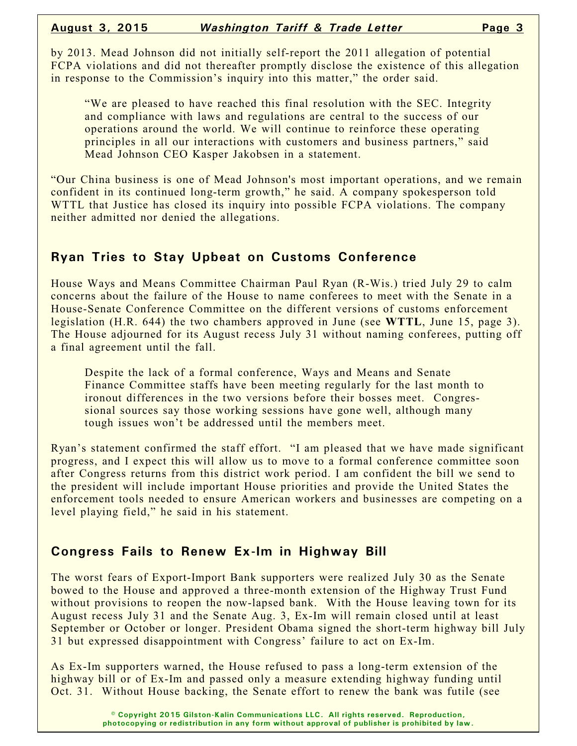by 2013. Mead Johnson did not initially self-report the 2011 allegation of potential FCPA violations and did not thereafter promptly disclose the existence of this allegation in response to the Commission's inquiry into this matter," the order said.

"We are pleased to have reached this final resolution with the SEC. Integrity and compliance with laws and regulations are central to the success of our operations around the world. We will continue to reinforce these operating principles in all our interactions with customers and business partners," said Mead Johnson CEO Kasper Jakobsen in a statement.

"Our China business is one of Mead Johnson's most important operations, and we remain confident in its continued long-term growth," he said. A company spokesperson told WTTL that Justice has closed its inquiry into possible FCPA violations. The company neither admitted nor denied the allegations.

## **Ryan Tries to Stay Upbeat on Customs Conference**

House Ways and Means Committee Chairman Paul Ryan (R-Wis.) tried July 29 to calm concerns about the failure of the House to name conferees to meet with the Senate in a House-Senate Conference Committee on the different versions of customs enforcement legislation (H.R. 644) the two chambers approved in June (see **WTTL**, June 15, page 3). The House adjourned for its August recess July 31 without naming conferees, putting off a final agreement until the fall.

Despite the lack of a formal conference, Ways and Means and Senate Finance Committee staffs have been meeting regularly for the last month to ironout differences in the two versions before their bosses meet. Congressional sources say those working sessions have gone well, although many tough issues won't be addressed until the members meet.

Ryan's statement confirmed the staff effort. "I am pleased that we have made significant progress, and I expect this will allow us to move to a formal conference committee soon after Congress returns from this district work period. I am confident the bill we send to the president will include important House priorities and provide the United States the enforcement tools needed to ensure American workers and businesses are competing on a level playing field," he said in his statement.

## **Congress Fails to Renew Ex-Im in Highway Bill**

The worst fears of Export-Import Bank supporters were realized July 30 as the Senate bowed to the House and approved a three-month extension of the Highway Trust Fund without provisions to reopen the now-lapsed bank. With the House leaving town for its August recess July 31 and the Senate Aug. 3, Ex-Im will remain closed until at least September or October or longer. President Obama signed the short-term highway bill July 31 but expressed disappointment with Congress' failure to act on Ex-Im.

As Ex-Im supporters warned, the House refused to pass a long-term extension of the highway bill or of Ex-Im and passed only a measure extending highway funding until Oct. 31. Without House backing, the Senate effort to renew the bank was futile (see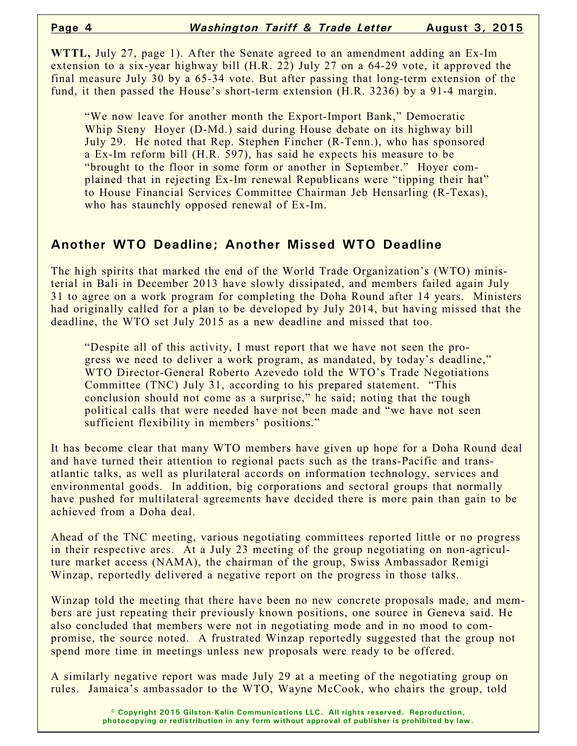**WTTL,** July 27, page 1). After the Senate agreed to an amendment adding an Ex-Im extension to a six-year highway bill (H.R. 22) July 27 on a 64-29 vote, it approved the final measure July 30 by a 65-34 vote. But after passing that long-term extension of the fund, it then passed the House's short-term extension (H.R. 3236) by a 91-4 margin.

"We now leave for another month the Export-Import Bank," Democratic Whip Steny Hoyer (D-Md.) said during House debate on its highway bill July 29. He noted that Rep. Stephen Fincher (R-Tenn.), who has sponsored a Ex-Im reform bill (H.R. 597), has said he expects his measure to be "brought to the floor in some form or another in September." Hoyer complained that in rejecting Ex-Im renewal Republicans were "tipping their hat" to House Financial Services Committee Chairman Jeb Hensarling (R-Texas), who has staunchly opposed renewal of Ex-Im.

## **Another WTO Deadline; Another Missed WTO Deadline**

The high spirits that marked the end of the World Trade Organization's (WTO) ministerial in Bali in December 2013 have slowly dissipated, and members failed again July 31 to agree on a work program for completing the Doha Round after 14 years. Ministers had originally called for a plan to be developed by July 2014, but having missed that the deadline, the WTO set July 2015 as a new deadline and missed that too.

"Despite all of this activity, I must report that we have not seen the progress we need to deliver a work program, as mandated, by today's deadline," WTO Director-General Roberto Azevedo told the WTO's Trade Negotiations Committee (TNC) July 31, according to his prepared statement. "This conclusion should not come as a surprise," he said; noting that the tough political calls that were needed have not been made and "we have not seen sufficient flexibility in members' positions."

It has become clear that many WTO members have given up hope for a Doha Round deal and have turned their attention to regional pacts such as the trans-Pacific and transatlantic talks, as well as plurilateral accords on information technology, services and environmental goods. In addition, big corporations and sectoral groups that normally have pushed for multilateral agreements have decided there is more pain than gain to be achieved from a Doha deal.

Ahead of the TNC meeting, various negotiating committees reported little or no progress in their respective ares. At a July 23 meeting of the group negotiating on non-agriculture market access (NAMA), the chairman of the group, Swiss Ambassador Remigi Winzap, reportedly delivered a negative report on the progress in those talks.

Winzap told the meeting that there have been no new concrete proposals made, and members are just repeating their previously known positions, one source in Geneva said. He also concluded that members were not in negotiating mode and in no mood to compromise, the source noted. A frustrated Winzap reportedly suggested that the group not spend more time in meetings unless new proposals were ready to be offered.

A similarly negative report was made July 29 at a meeting of the negotiating group on rules. Jamaica's ambassador to the WTO, Wayne McCook, who chairs the group, told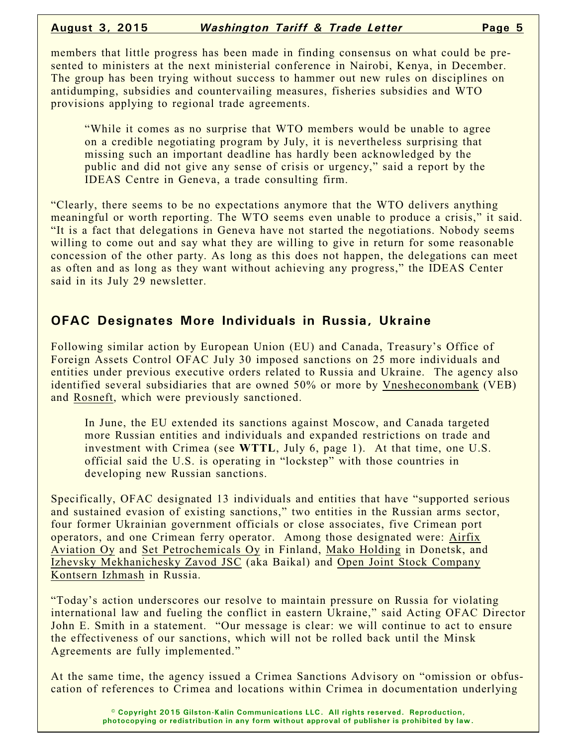members that little progress has been made in finding consensus on what could be presented to ministers at the next ministerial conference in Nairobi, Kenya, in December. The group has been trying without success to hammer out new rules on disciplines on antidumping, subsidies and countervailing measures, fisheries subsidies and WTO provisions applying to regional trade agreements.

"While it comes as no surprise that WTO members would be unable to agree on a credible negotiating program by July, it is nevertheless surprising that missing such an important deadline has hardly been acknowledged by the public and did not give any sense of crisis or urgency," said a report by the IDEAS Centre in Geneva, a trade consulting firm.

"Clearly, there seems to be no expectations anymore that the WTO delivers anything meaningful or worth reporting. The WTO seems even unable to produce a crisis," it said. "It is a fact that delegations in Geneva have not started the negotiations. Nobody seems willing to come out and say what they are willing to give in return for some reasonable concession of the other party. As long as this does not happen, the delegations can meet as often and as long as they want without achieving any progress," the IDEAS Center said in its July 29 newsletter.

#### **OFAC Designates More Individuals in Russia, Ukraine**

Following similar action by European Union (EU) and Canada, Treasury's Office of Foreign Assets Control OFAC July 30 imposed sanctions on 25 more individuals and entities under previous executive orders related to Russia and Ukraine. The agency also identified several subsidiaries that are owned 50% or more by Vnesheconombank (VEB) and Rosneft, which were previously sanctioned.

In June, the EU extended its sanctions against Moscow, and Canada targeted more Russian entities and individuals and expanded restrictions on trade and investment with Crimea (see **WTTL**, July 6, page 1). At that time, one U.S. official said the U.S. is operating in "lockstep" with those countries in developing new Russian sanctions.

Specifically, OFAC designated 13 individuals and entities that have "supported serious and sustained evasion of existing sanctions," two entities in the Russian arms sector, four former Ukrainian government officials or close associates, five Crimean port operators, and one Crimean ferry operator. Among those designated were: Airfix Aviation Oy and Set Petrochemicals Oy in Finland, Mako Holding in Donetsk, and Izhevsky Mekhanichesky Zavod JSC (aka Baikal) and Open Joint Stock Company Kontsern Izhmash in Russia.

"Today's action underscores our resolve to maintain pressure on Russia for violating international law and fueling the conflict in eastern Ukraine," said Acting OFAC Director John E. Smith in a statement. "Our message is clear: we will continue to act to ensure the effectiveness of our sanctions, which will not be rolled back until the Minsk Agreements are fully implemented."

At the same time, the agency issued a Crimea Sanctions Advisory on "omission or obfuscation of references to Crimea and locations within Crimea in documentation underlying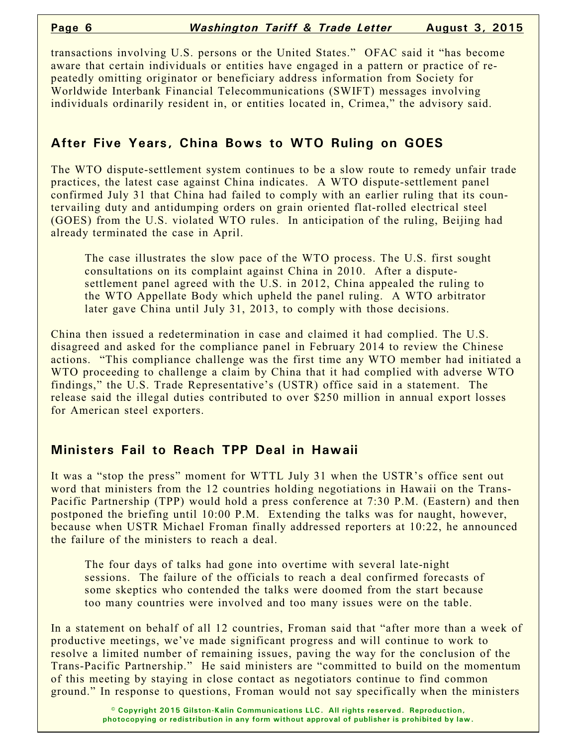transactions involving U.S. persons or the United States." OFAC said it "has become aware that certain individuals or entities have engaged in a pattern or practice of repeatedly omitting originator or beneficiary address information from Society for Worldwide Interbank Financial Telecommunications (SWIFT) messages involving individuals ordinarily resident in, or entities located in, Crimea," the advisory said.

# **After Five Years, China Bows to WTO Ruling on GOES**

The WTO dispute-settlement system continues to be a slow route to remedy unfair trade practices, the latest case against China indicates. A WTO dispute-settlement panel confirmed July 31 that China had failed to comply with an earlier ruling that its countervailing duty and antidumping orders on grain oriented flat-rolled electrical steel (GOES) from the U.S. violated WTO rules. In anticipation of the ruling, Beijing had already terminated the case in April.

The case illustrates the slow pace of the WTO process. The U.S. first sought consultations on its complaint against China in 2010. After a disputesettlement panel agreed with the U.S. in 2012, China appealed the ruling to the WTO Appellate Body which upheld the panel ruling. A WTO arbitrator later gave China until July 31, 2013, to comply with those decisions.

China then issued a redetermination in case and claimed it had complied. The U.S. disagreed and asked for the compliance panel in February 2014 to review the Chinese actions. "This compliance challenge was the first time any WTO member had initiated a WTO proceeding to challenge a claim by China that it had complied with adverse WTO findings," the U.S. Trade Representative's (USTR) office said in a statement. The release said the illegal duties contributed to over \$250 million in annual export losses for American steel exporters.

# **Ministers Fail to Reach TPP Deal in Hawaii**

It was a "stop the press" moment for WTTL July 31 when the USTR's office sent out word that ministers from the 12 countries holding negotiations in Hawaii on the Trans-Pacific Partnership (TPP) would hold a press conference at 7:30 P.M. (Eastern) and then postponed the briefing until 10:00 P.M. Extending the talks was for naught, however, because when USTR Michael Froman finally addressed reporters at 10:22, he announced the failure of the ministers to reach a deal.

The four days of talks had gone into overtime with several late-night sessions. The failure of the officials to reach a deal confirmed forecasts of some skeptics who contended the talks were doomed from the start because too many countries were involved and too many issues were on the table.

In a statement on behalf of all 12 countries, Froman said that "after more than a week of productive meetings, we've made significant progress and will continue to work to resolve a limited number of remaining issues, paving the way for the conclusion of the Trans-Pacific Partnership." He said ministers are "committed to build on the momentum of this meeting by staying in close contact as negotiators continue to find common ground." In response to questions, Froman would not say specifically when the ministers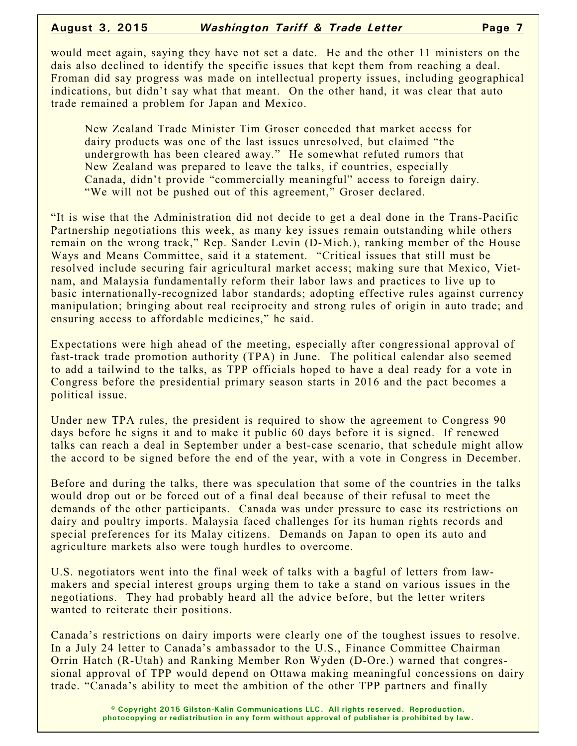would meet again, saying they have not set a date. He and the other 11 ministers on the dais also declined to identify the specific issues that kept them from reaching a deal. Froman did say progress was made on intellectual property issues, including geographical indications, but didn't say what that meant. On the other hand, it was clear that auto trade remained a problem for Japan and Mexico.

New Zealand Trade Minister Tim Groser conceded that market access for dairy products was one of the last issues unresolved, but claimed "the undergrowth has been cleared away." He somewhat refuted rumors that New Zealand was prepared to leave the talks, if countries, especially Canada, didn't provide "commercially meaningful" access to foreign dairy. "We will not be pushed out of this agreement," Groser declared.

"It is wise that the Administration did not decide to get a deal done in the Trans-Pacific Partnership negotiations this week, as many key issues remain outstanding while others remain on the wrong track," Rep. Sander Levin (D-Mich.), ranking member of the House Ways and Means Committee, said it a statement. "Critical issues that still must be resolved include securing fair agricultural market access; making sure that Mexico, Vietnam, and Malaysia fundamentally reform their labor laws and practices to live up to basic internationally-recognized labor standards; adopting effective rules against currency manipulation; bringing about real reciprocity and strong rules of origin in auto trade; and ensuring access to affordable medicines," he said.

Expectations were high ahead of the meeting, especially after congressional approval of fast-track trade promotion authority (TPA) in June. The political calendar also seemed to add a tailwind to the talks, as TPP officials hoped to have a deal ready for a vote in Congress before the presidential primary season starts in 2016 and the pact becomes a political issue.

Under new TPA rules, the president is required to show the agreement to Congress 90 days before he signs it and to make it public 60 days before it is signed. If renewed talks can reach a deal in September under a best-case scenario, that schedule might allow the accord to be signed before the end of the year, with a vote in Congress in December.

Before and during the talks, there was speculation that some of the countries in the talks would drop out or be forced out of a final deal because of their refusal to meet the demands of the other participants. Canada was under pressure to ease its restrictions on dairy and poultry imports. Malaysia faced challenges for its human rights records and special preferences for its Malay citizens. Demands on Japan to open its auto and agriculture markets also were tough hurdles to overcome.

U.S. negotiators went into the final week of talks with a bagful of letters from lawmakers and special interest groups urging them to take a stand on various issues in the negotiations. They had probably heard all the advice before, but the letter writers wanted to reiterate their positions.

Canada's restrictions on dairy imports were clearly one of the toughest issues to resolve. In a July 24 letter to Canada's ambassador to the U.S., Finance Committee Chairman Orrin Hatch (R-Utah) and Ranking Member Ron Wyden (D-Ore.) warned that congressional approval of TPP would depend on Ottawa making meaningful concessions on dairy trade. "Canada's ability to meet the ambition of the other TPP partners and finally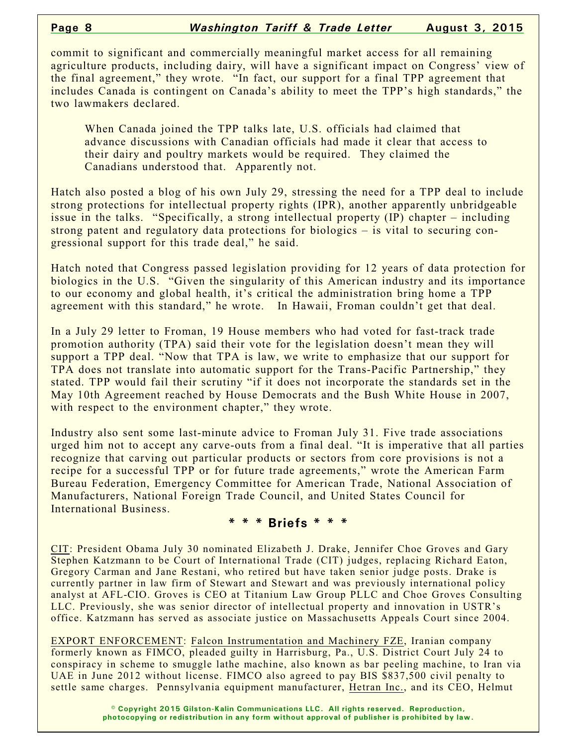commit to significant and commercially meaningful market access for all remaining agriculture products, including dairy, will have a significant impact on Congress' view of the final agreement," they wrote. "In fact, our support for a final TPP agreement that includes Canada is contingent on Canada's ability to meet the TPP's high standards," the two lawmakers declared.

When Canada joined the TPP talks late, U.S. officials had claimed that advance discussions with Canadian officials had made it clear that access to their dairy and poultry markets would be required. They claimed the Canadians understood that. Apparently not.

Hatch also posted a blog of his own July 29, stressing the need for a TPP deal to include strong protections for intellectual property rights (IPR), another apparently unbridgeable issue in the talks. "Specifically, a strong intellectual property (IP) chapter – including strong patent and regulatory data protections for biologics – is vital to securing congressional support for this trade deal," he said.

Hatch noted that Congress passed legislation providing for 12 years of data protection for biologics in the U.S. "Given the singularity of this American industry and its importance to our economy and global health, it's critical the administration bring home a TPP agreement with this standard," he wrote. In Hawaii, Froman couldn't get that deal.

In a July 29 letter to Froman, 19 House members who had voted for fast-track trade promotion authority (TPA) said their vote for the legislation doesn't mean they will support a TPP deal. "Now that TPA is law, we write to emphasize that our support for TPA does not translate into automatic support for the Trans-Pacific Partnership," they stated. TPP would fail their scrutiny "if it does not incorporate the standards set in the May 10th Agreement reached by House Democrats and the Bush White House in 2007, with respect to the environment chapter," they wrote.

Industry also sent some last-minute advice to Froman July 31. Five trade associations urged him not to accept any carve-outs from a final deal. "It is imperative that all parties recognize that carving out particular products or sectors from core provisions is not a recipe for a successful TPP or for future trade agreements," wrote the American Farm Bureau Federation, Emergency Committee for American Trade, National Association of Manufacturers, National Foreign Trade Council, and United States Council for International Business.

#### **\* \* \* Briefs \* \* \***

CIT: President Obama July 30 nominated Elizabeth J. Drake, Jennifer Choe Groves and Gary Stephen Katzmann to be Court of International Trade (CIT) judges, replacing Richard Eaton, Gregory Carman and Jane Restani, who retired but have taken senior judge posts. Drake is currently partner in law firm of Stewart and Stewart and was previously international policy analyst at AFL-CIO. Groves is CEO at Titanium Law Group PLLC and Choe Groves Consulting LLC. Previously, she was senior director of intellectual property and innovation in USTR's office. Katzmann has served as associate justice on Massachusetts Appeals Court since 2004.

EXPORT ENFORCEMENT: Falcon Instrumentation and Machinery FZE, Iranian company formerly known as FIMCO, pleaded guilty in Harrisburg, Pa., U.S. District Court July 24 to conspiracy in scheme to smuggle lathe machine, also known as bar peeling machine, to Iran via UAE in June 2012 without license. FIMCO also agreed to pay BIS \$837,500 civil penalty to settle same charges. Pennsylvania equipment manufacturer, Hetran Inc., and its CEO, Helmut